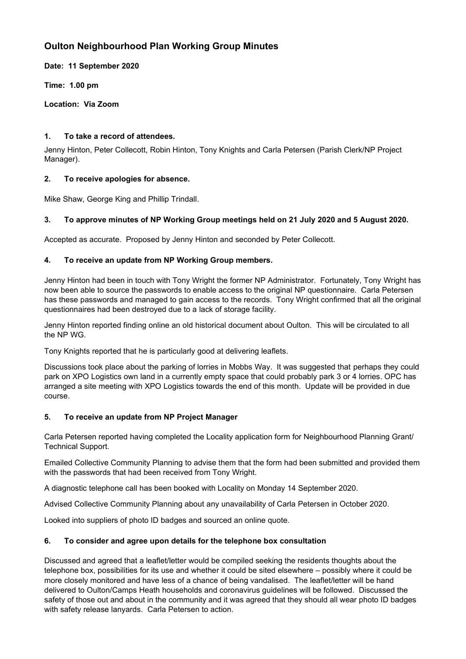# **Oulton Neighbourhood Plan Working Group Minutes**

**Date: 11 September 2020**

**Time: 1.00 pm**

**Location: Via Zoom**

## **1. To take a record of attendees.**

Jenny Hinton, Peter Collecott, Robin Hinton, Tony Knights and Carla Petersen (Parish Clerk/NP Project Manager).

## **2. To receive apologies for absence.**

Mike Shaw, George King and Phillip Trindall.

# **3. To approve minutes of NP Working Group meetings held on 21 July 2020 and 5 August 2020.**

Accepted as accurate. Proposed by Jenny Hinton and seconded by Peter Collecott.

## **4. To receive an update from NP Working Group members.**

Jenny Hinton had been in touch with Tony Wright the former NP Administrator. Fortunately, Tony Wright has now been able to source the passwords to enable access to the original NP questionnaire. Carla Petersen has these passwords and managed to gain access to the records. Tony Wright confirmed that all the original questionnaires had been destroyed due to a lack of storage facility.

Jenny Hinton reported finding online an old historical document about Oulton. This will be circulated to all the NP WG.

Tony Knights reported that he is particularly good at delivering leaflets.

Discussions took place about the parking of lorries in Mobbs Way. It was suggested that perhaps they could park on XPO Logistics own land in a currently empty space that could probably park 3 or 4 lorries. OPC has arranged a site meeting with XPO Logistics towards the end of this month. Update will be provided in due course.

#### **5. To receive an update from NP Project Manager**

Carla Petersen reported having completed the Locality application form for Neighbourhood Planning Grant/ Technical Support.

Emailed Collective Community Planning to advise them that the form had been submitted and provided them with the passwords that had been received from Tony Wright.

A diagnostic telephone call has been booked with Locality on Monday 14 September 2020.

Advised Collective Community Planning about any unavailability of Carla Petersen in October 2020.

Looked into suppliers of photo ID badges and sourced an online quote.

#### **6. To consider and agree upon details for the telephone box consultation**

Discussed and agreed that a leaflet/letter would be compiled seeking the residents thoughts about the telephone box, possibilities for its use and whether it could be sited elsewhere – possibly where it could be more closely monitored and have less of a chance of being vandalised. The leaflet/letter will be hand delivered to Oulton/Camps Heath households and coronavirus guidelines will be followed. Discussed the safety of those out and about in the community and it was agreed that they should all wear photo ID badges with safety release lanyards. Carla Petersen to action.